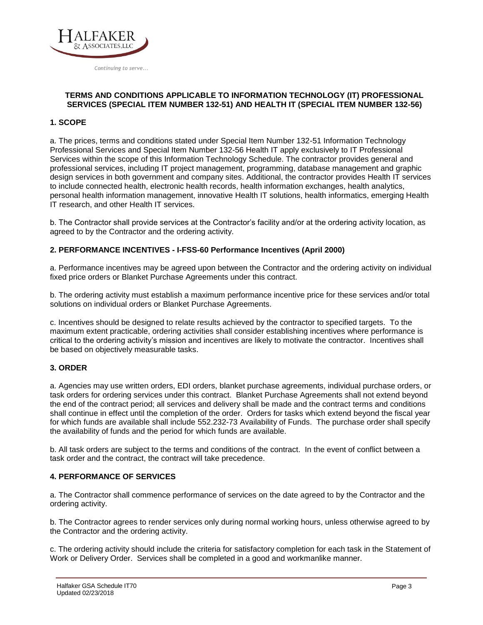

#### **TERMS AND CONDITIONS APPLICABLE TO INFORMATION TECHNOLOGY (IT) PROFESSIONAL SERVICES (SPECIAL ITEM NUMBER 6) AND HEALTH IT (SPECIAL ITEM NUMBER +(\$/)**

## **1. SCOPE**

a. The prices, terms and conditions stated under Special Item Number 54151S Information Technology Professional Services and Special Item Number 54151HEAL Health IT apply exclusively to IT Professional Services within the scope of this Information Technology Schedule. The contractor provides general and professional services, including IT project management, programming, database management and graphic design services in both government and company sites. Additional, the contractor provides Health IT services to include connected health, electronic health records, health information exchanges, health analytics, personal health information management, innovative Health IT solutions, health informatics, emerging Health IT research, and other Health IT services.

b. The Contractor shall provide services at the Contractor's facility and/or at the ordering activity location, as agreed to by the Contractor and the ordering activity.

#### **2. PERFORMANCE INCENTIVES - I-FSS-60 Performance Incentives (April 2000)**

a. Performance incentives may be agreed upon between the Contractor and the ordering activity on individual fixed price orders or Blanket Purchase Agreements under this contract.

b. The ordering activity must establish a maximum performance incentive price for these services and/or total solutions on individual orders or Blanket Purchase Agreements.

c. Incentives should be designed to relate results achieved by the contractor to specified targets. To the maximum extent practicable, ordering activities shall consider establishing incentives where performance is critical to the ordering activity's mission and incentives are likely to motivate the contractor. Incentives shall be based on objectively measurable tasks.

#### **3. ORDER**

a. Agencies may use written orders, EDI orders, blanket purchase agreements, individual purchase orders, or task orders for ordering services under this contract. Blanket Purchase Agreements shall not extend beyond the end of the contract period; all services and delivery shall be made and the contract terms and conditions shall continue in effect until the completion of the order. Orders for tasks which extend beyond the fiscal year for which funds are available shall include 552.232-73 Availability of Funds. The purchase order shall specify the availability of funds and the period for which funds are available.

b. All task orders are subject to the terms and conditions of the contract. In the event of conflict between a task order and the contract, the contract will take precedence.

#### **4. PERFORMANCE OF SERVICES**

a. The Contractor shall commence performance of services on the date agreed to by the Contractor and the ordering activity.

b. The Contractor agrees to render services only during normal working hours, unless otherwise agreed to by the Contractor and the ordering activity.

c. The ordering activity should include the criteria for satisfactory completion for each task in the Statement of Work or Delivery Order. Services shall be completed in a good and workmanlike manner.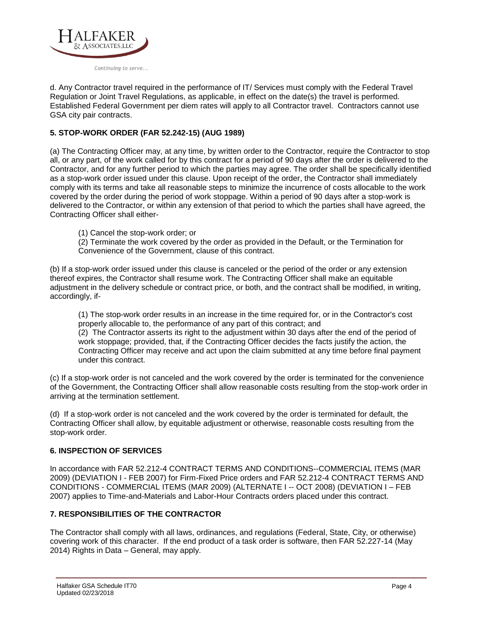

d. Any Contractor travel required in the performance of IT/ Services must comply with the Federal Travel Regulation or Joint Travel Regulations, as applicable, in effect on the date(s) the travel is performed. Established Federal Government per diem rates will apply to all Contractor travel. Contractors cannot use GSA city pair contracts.

## **5. STOP-WORK ORDER (FAR 52.242-15) (AUG 1989)**

(a) The Contracting Officer may, at any time, by written order to the Contractor, require the Contractor to stop all, or any part, of the work called for by this contract for a period of 90 days after the order is delivered to the Contractor, and for any further period to which the parties may agree. The order shall be specifically identified as a stop-work order issued under this clause. Upon receipt of the order, the Contractor shall immediately comply with its terms and take all reasonable steps to minimize the incurrence of costs allocable to the work covered by the order during the period of work stoppage. Within a period of 90 days after a stop-work is delivered to the Contractor, or within any extension of that period to which the parties shall have agreed, the Contracting Officer shall either-

(1) Cancel the stop-work order; or

(2) Terminate the work covered by the order as provided in the Default, or the Termination for Convenience of the Government, clause of this contract.

(b) If a stop-work order issued under this clause is canceled or the period of the order or any extension thereof expires, the Contractor shall resume work. The Contracting Officer shall make an equitable adjustment in the delivery schedule or contract price, or both, and the contract shall be modified, in writing, accordingly, if-

(1) The stop-work order results in an increase in the time required for, or in the Contractor's cost properly allocable to, the performance of any part of this contract; and

(2) The Contractor asserts its right to the adjustment within 30 days after the end of the period of work stoppage; provided, that, if the Contracting Officer decides the facts justify the action, the Contracting Officer may receive and act upon the claim submitted at any time before final payment under this contract.

(c) If a stop-work order is not canceled and the work covered by the order is terminated for the convenience of the Government, the Contracting Officer shall allow reasonable costs resulting from the stop-work order in arriving at the termination settlement.

(d) If a stop-work order is not canceled and the work covered by the order is terminated for default, the Contracting Officer shall allow, by equitable adjustment or otherwise, reasonable costs resulting from the stop-work order.

### **6. INSPECTION OF SERVICES**

In accordance with FAR 52.212-4 CONTRACT TERMS AND CONDITIONS--COMMERCIAL ITEMS (MAR 2009) (DEVIATION I - FEB 2007) for Firm-Fixed Price orders and FAR 52.212-4 CONTRACT TERMS AND CONDITIONS - COMMERCIAL ITEMS (MAR 2009) (ALTERNATE I -- OCT 2008) (DEVIATION I – FEB 2007) applies to Time-and-Materials and Labor-Hour Contracts orders placed under this contract.

### **7. RESPONSIBILITIES OF THE CONTRACTOR**

The Contractor shall comply with all laws, ordinances, and regulations (Federal, State, City, or otherwise) covering work of this character. If the end product of a task order is software, then FAR 52.227-14 (May 2014) Rights in Data – General, may apply.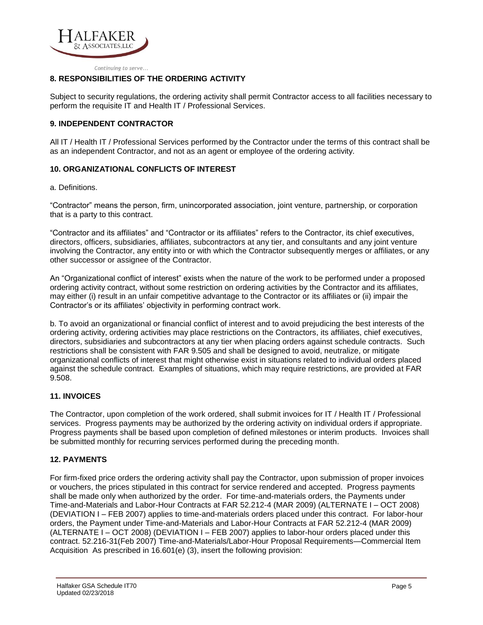

## **8. RESPONSIBILITIES OF THE ORDERING ACTIVITY**

Subject to security regulations, the ordering activity shall permit Contractor access to all facilities necessary to perform the requisite IT and Health IT / Professional Services.

## **9. INDEPENDENT CONTRACTOR**

All IT / Health IT / Professional Services performed by the Contractor under the terms of this contract shall be as an independent Contractor, and not as an agent or employee of the ordering activity.

### **10. ORGANIZATIONAL CONFLICTS OF INTEREST**

a. Definitions.

"Contractor" means the person, firm, unincorporated association, joint venture, partnership, or corporation that is a party to this contract.

"Contractor and its affiliates" and "Contractor or its affiliates" refers to the Contractor, its chief executives, directors, officers, subsidiaries, affiliates, subcontractors at any tier, and consultants and any joint venture involving the Contractor, any entity into or with which the Contractor subsequently merges or affiliates, or any other successor or assignee of the Contractor.

An "Organizational conflict of interest" exists when the nature of the work to be performed under a proposed ordering activity contract, without some restriction on ordering activities by the Contractor and its affiliates, may either (i) result in an unfair competitive advantage to the Contractor or its affiliates or (ii) impair the Contractor's or its affiliates' objectivity in performing contract work.

b. To avoid an organizational or financial conflict of interest and to avoid prejudicing the best interests of the ordering activity, ordering activities may place restrictions on the Contractors, its affiliates, chief executives, directors, subsidiaries and subcontractors at any tier when placing orders against schedule contracts. Such restrictions shall be consistent with FAR 9.505 and shall be designed to avoid, neutralize, or mitigate organizational conflicts of interest that might otherwise exist in situations related to individual orders placed against the schedule contract. Examples of situations, which may require restrictions, are provided at FAR 9.508.

### **11. INVOICES**

The Contractor, upon completion of the work ordered, shall submit invoices for IT / Health IT / Professional services. Progress payments may be authorized by the ordering activity on individual orders if appropriate. Progress payments shall be based upon completion of defined milestones or interim products. Invoices shall be submitted monthly for recurring services performed during the preceding month.

### **12. PAYMENTS**

For firm-fixed price orders the ordering activity shall pay the Contractor, upon submission of proper invoices or vouchers, the prices stipulated in this contract for service rendered and accepted. Progress payments shall be made only when authorized by the order. For time-and-materials orders, the Payments under Time-and-Materials and Labor-Hour Contracts at FAR 52.212-4 (MAR 2009) (ALTERNATE I – OCT 2008) (DEVIATION I – FEB 2007) applies to time-and-materials orders placed under this contract. For labor-hour orders, the Payment under Time-and-Materials and Labor-Hour Contracts at FAR 52.212-4 (MAR 2009) (ALTERNATE I – OCT 2008) (DEVIATION I – FEB 2007) applies to labor-hour orders placed under this contract. 52.216-31(Feb 2007) Time-and-Materials/Labor-Hour Proposal Requirements—Commercial Item Acquisition. As prescribed in 16.601(e) (3), insert the following provision: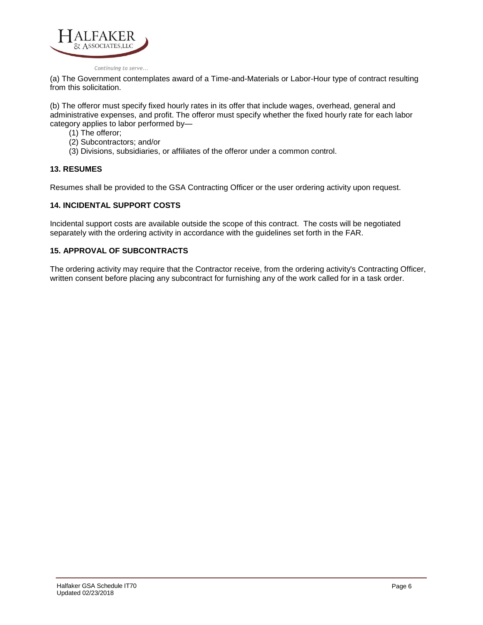

(a) The Government contemplates award of a Time-and-Materials or Labor-Hour type of contract resulting from this solicitation.

(b) The offeror must specify fixed hourly rates in its offer that include wages, overhead, general and administrative expenses, and profit. The offeror must specify whether the fixed hourly rate for each labor category applies to labor performed by—

- (1) The offeror;
- (2) Subcontractors; and/or
- (3) Divisions, subsidiaries, or affiliates of the offeror under a common control.

#### **13. RESUMES**

Resumes shall be provided to the GSA Contracting Officer or the user ordering activity upon request.

#### **14. INCIDENTAL SUPPORT COSTS**

Incidental support costs are available outside the scope of this contract. The costs will be negotiated separately with the ordering activity in accordance with the guidelines set forth in the FAR.

### **15. APPROVAL OF SUBCONTRACTS**

The ordering activity may require that the Contractor receive, from the ordering activity's Contracting Officer, written consent before placing any subcontract for furnishing any of the work called for in a task order.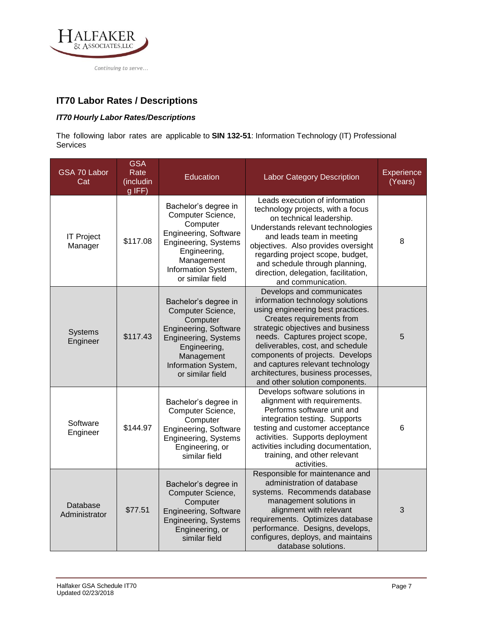

# **Labor Rates / Descriptions**

## *Hourly Labor Rates/Descriptions*

The following labor rates are applicable to **SIN 54151S**: Information Technology (IT) Professional Services

| <b>Labor Category</b>        | <b>GSA</b><br>Rate<br>(includin<br>g IFF) | Education                                                                                                                                                                       | <b>Labor Category Description</b>                                                                                                                                                                                                                                                                                                                                                          | Experience<br>(Years) |
|------------------------------|-------------------------------------------|---------------------------------------------------------------------------------------------------------------------------------------------------------------------------------|--------------------------------------------------------------------------------------------------------------------------------------------------------------------------------------------------------------------------------------------------------------------------------------------------------------------------------------------------------------------------------------------|-----------------------|
| <b>IT Project</b><br>Manager | \$117.08                                  | Bachelor's degree in<br>Computer Science,<br>Computer<br>Engineering, Software<br>Engineering, Systems<br>Engineering,<br>Management<br>Information System,<br>or similar field | Leads execution of information<br>technology projects, with a focus<br>on technical leadership.<br>Understands relevant technologies<br>and leads team in meeting<br>objectives. Also provides oversight<br>regarding project scope, budget,<br>and schedule through planning,<br>direction, delegation, facilitation,<br>and communication.                                               | 8                     |
| Systems<br>Engineer          | \$117.43                                  | Bachelor's degree in<br>Computer Science,<br>Computer<br>Engineering, Software<br>Engineering, Systems<br>Engineering,<br>Management<br>Information System,<br>or similar field | Develops and communicates<br>information technology solutions<br>using engineering best practices.<br>Creates requirements from<br>strategic objectives and business<br>needs. Captures project scope,<br>deliverables, cost, and schedule<br>components of projects. Develops<br>and captures relevant technology<br>architectures, business processes,<br>and other solution components. | 5                     |
| Software<br>Engineer         | \$144.97                                  | Bachelor's degree in<br>Computer Science,<br>Computer<br>Engineering, Software<br>Engineering, Systems<br>Engineering, or<br>similar field                                      | Develops software solutions in<br>alignment with requirements.<br>Performs software unit and<br>integration testing. Supports<br>testing and customer acceptance<br>activities. Supports deployment<br>activities including documentation,<br>training, and other relevant<br>activities.                                                                                                  | 6                     |
| Database<br>Administrator    | \$77.51                                   | Bachelor's degree in<br>Computer Science,<br>Computer<br>Engineering, Software<br>Engineering, Systems<br>Engineering, or<br>similar field                                      | Responsible for maintenance and<br>administration of database<br>systems. Recommends database<br>management solutions in<br>alignment with relevant<br>requirements. Optimizes database<br>performance. Designs, develops,<br>configures, deploys, and maintains<br>database solutions.                                                                                                    | 3                     |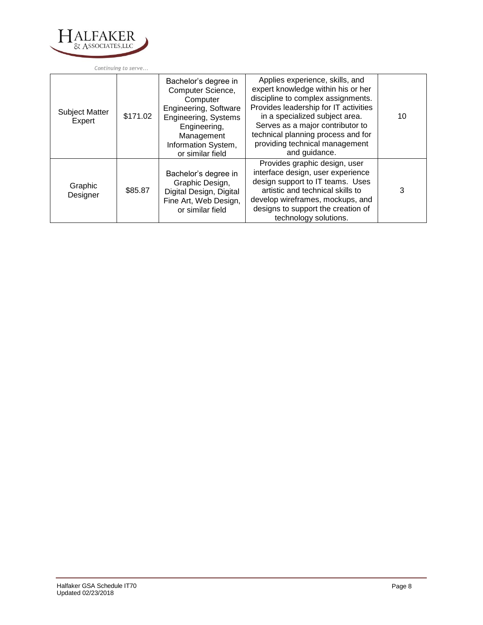

| <b>Subject Matter</b><br>Expert | \$171.02 | Bachelor's degree in<br>Computer Science,<br>Computer<br><b>Engineering, Software</b><br>Engineering, Systems<br>Engineering,<br>Management<br>Information System,<br>or similar field | Applies experience, skills, and<br>expert knowledge within his or her<br>discipline to complex assignments.<br>Provides leadership for IT activities<br>in a specialized subject area.<br>Serves as a major contributor to<br>technical planning process and for<br>providing technical management<br>and guidance. | 10 |
|---------------------------------|----------|----------------------------------------------------------------------------------------------------------------------------------------------------------------------------------------|---------------------------------------------------------------------------------------------------------------------------------------------------------------------------------------------------------------------------------------------------------------------------------------------------------------------|----|
| Graphic<br>Designer             | \$85.87  | Bachelor's degree in<br>Graphic Design,<br>Digital Design, Digital<br>Fine Art, Web Design,<br>or similar field                                                                        | Provides graphic design, user<br>interface design, user experience<br>design support to IT teams. Uses<br>artistic and technical skills to<br>develop wireframes, mockups, and<br>designs to support the creation of<br>technology solutions.                                                                       | 3  |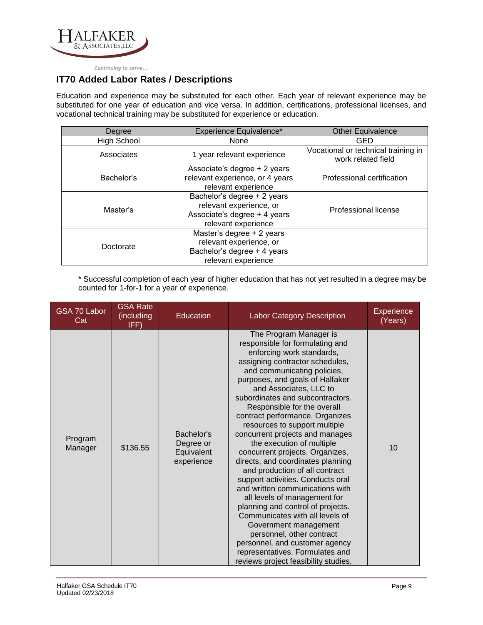

# **Added Labor Rates / Descriptions**

Education and experience may be substituted for each other. Each year of relevant experience may be substituted for one year of education and vice versa. In addition, certifications, professional licenses, and vocational technical training may be substituted for experience or education.

| Degree             | Experience Equivalence*                                                                                       | <b>Other Equivalence</b>                                  |
|--------------------|---------------------------------------------------------------------------------------------------------------|-----------------------------------------------------------|
| <b>High School</b> | None                                                                                                          | GED                                                       |
| Associates         | 1 year relevant experience                                                                                    | Vocational or technical training in<br>work related field |
| Bachelor's         | Associate's degree + 2 years<br>relevant experience, or 4 years<br>relevant experience                        | Professional certification                                |
| Master's           | Bachelor's degree + 2 years<br>relevant experience, or<br>Associate's degree + 4 years<br>relevant experience | Professional license                                      |
| Doctorate          | Master's degree + 2 years<br>relevant experience, or<br>Bachelor's degree + 4 years<br>relevant experience    |                                                           |

\* Successful completion of each year of higher education that has not yet resulted in a degree may be counted for 1-for-1 for a year of experience.

| <b>Labor Category</b> | <b>GSA Rate</b><br>(including<br>IFF) | <b>Education</b>                                    | <b>Labor Category Description</b>                                                                                                                                                                                                                                                                                                                                                                                                                                                                                                                                                                                                                                                                                                                                                                                                                                                         | <b>Experience</b><br>(Years) |
|-----------------------|---------------------------------------|-----------------------------------------------------|-------------------------------------------------------------------------------------------------------------------------------------------------------------------------------------------------------------------------------------------------------------------------------------------------------------------------------------------------------------------------------------------------------------------------------------------------------------------------------------------------------------------------------------------------------------------------------------------------------------------------------------------------------------------------------------------------------------------------------------------------------------------------------------------------------------------------------------------------------------------------------------------|------------------------------|
| Program<br>Manager    | \$136.55                              | Bachelor's<br>Degree or<br>Equivalent<br>experience | The Program Manager is<br>responsible for formulating and<br>enforcing work standards,<br>assigning contractor schedules,<br>and communicating policies,<br>purposes, and goals of Halfaker<br>and Associates, LLC to<br>subordinates and subcontractors.<br>Responsible for the overall<br>contract performance. Organizes<br>resources to support multiple<br>concurrent projects and manages<br>the execution of multiple<br>concurrent projects. Organizes,<br>directs, and coordinates planning<br>and production of all contract<br>support activities. Conducts oral<br>and written communications with<br>all levels of management for<br>planning and control of projects.<br>Communicates with all levels of<br>Government management<br>personnel, other contract<br>personnel, and customer agency<br>representatives. Formulates and<br>reviews project feasibility studies, | 10                           |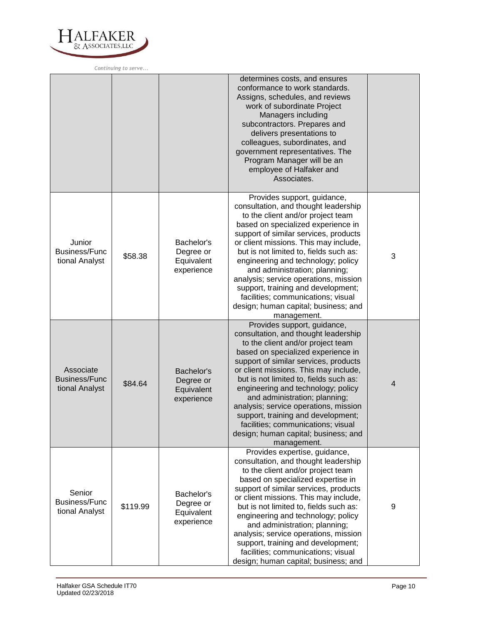

|                                                     |          |                                                     | determines costs, and ensures<br>conformance to work standards.<br>Assigns, schedules, and reviews<br>work of subordinate Project<br>Managers including<br>subcontractors. Prepares and<br>delivers presentations to<br>colleagues, subordinates, and<br>government representatives. The<br>Program Manager will be an<br>employee of Halfaker and<br>Associates.                                                                                                                                                             |                  |
|-----------------------------------------------------|----------|-----------------------------------------------------|-------------------------------------------------------------------------------------------------------------------------------------------------------------------------------------------------------------------------------------------------------------------------------------------------------------------------------------------------------------------------------------------------------------------------------------------------------------------------------------------------------------------------------|------------------|
| Junior<br><b>Business/Func</b><br>tional Analyst    | \$58.38  | Bachelor's<br>Degree or<br>Equivalent<br>experience | Provides support, guidance,<br>consultation, and thought leadership<br>to the client and/or project team<br>based on specialized experience in<br>support of similar services, products<br>or client missions. This may include,<br>but is not limited to, fields such as:<br>engineering and technology; policy<br>and administration; planning;<br>analysis; service operations, mission<br>support, training and development;<br>facilities; communications; visual<br>design; human capital; business; and<br>management. | 3                |
| Associate<br><b>Business/Func</b><br>tional Analyst | \$84.64  | Bachelor's<br>Degree or<br>Equivalent<br>experience | Provides support, guidance,<br>consultation, and thought leadership<br>to the client and/or project team<br>based on specialized experience in<br>support of similar services, products<br>or client missions. This may include,<br>but is not limited to, fields such as:<br>engineering and technology; policy<br>and administration; planning;<br>analysis; service operations, mission<br>support, training and development;<br>facilities; communications; visual<br>design; human capital; business; and<br>management. | $\overline{4}$   |
| Senior<br><b>Business/Func</b><br>tional Analyst    | \$119.99 | Bachelor's<br>Degree or<br>Equivalent<br>experience | Provides expertise, guidance,<br>consultation, and thought leadership<br>to the client and/or project team<br>based on specialized expertise in<br>support of similar services, products<br>or client missions. This may include,<br>but is not limited to, fields such as:<br>engineering and technology; policy<br>and administration; planning;<br>analysis; service operations, mission<br>support, training and development;<br>facilities; communications; visual<br>design; human capital; business; and               | $\boldsymbol{9}$ |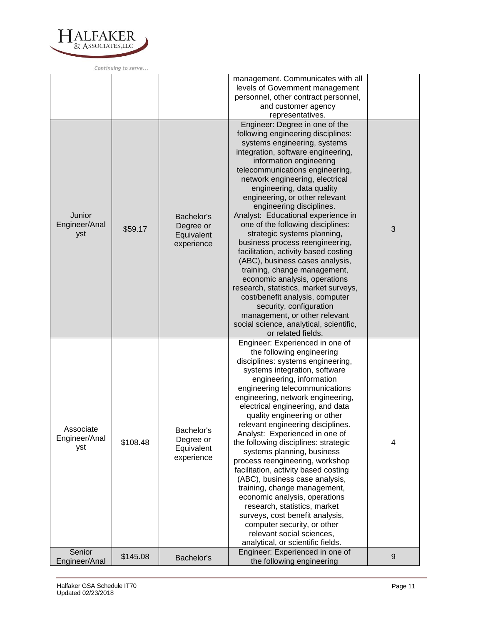

|                                   |          |                                                     | management. Communicates with all<br>levels of Government management<br>personnel, other contract personnel,<br>and customer agency<br>representatives.                                                                                                                                                                                                                                                                                                                                                                                                                                                                                                                                                                                                                                                                                  |       |
|-----------------------------------|----------|-----------------------------------------------------|------------------------------------------------------------------------------------------------------------------------------------------------------------------------------------------------------------------------------------------------------------------------------------------------------------------------------------------------------------------------------------------------------------------------------------------------------------------------------------------------------------------------------------------------------------------------------------------------------------------------------------------------------------------------------------------------------------------------------------------------------------------------------------------------------------------------------------------|-------|
| Junior<br>Engineer/Anal<br>yst    | \$59.17  | Bachelor's<br>Degree or<br>Equivalent<br>experience | Engineer: Degree in one of the<br>following engineering disciplines:<br>systems engineering, systems<br>integration, software engineering,<br>information engineering<br>telecommunications engineering,<br>network engineering, electrical<br>engineering, data quality<br>engineering, or other relevant<br>engineering disciplines.<br>Analyst: Educational experience in<br>one of the following disciplines:<br>strategic systems planning,<br>business process reengineering,<br>facilitation, activity based costing<br>(ABC), business cases analysis,<br>training, change management,<br>economic analysis, operations<br>research, statistics, market surveys,<br>cost/benefit analysis, computer<br>security, configuration<br>management, or other relevant<br>social science, analytical, scientific,<br>or related fields. | 3     |
| Associate<br>Engineer/Anal<br>yst | \$108.48 | Bachelor's<br>Degree or<br>Equivalent<br>experience | Engineer: Experienced in one of<br>the following engineering<br>disciplines: systems engineering,<br>systems integration, software<br>engineering, information<br>engineering telecommunications<br>engineering, network engineering,<br>electrical engineering, and data<br>quality engineering or other<br>relevant engineering disciplines<br>Analyst: Experienced in one of<br>the following disciplines: strategic<br>systems planning, business<br>process reengineering, workshop<br>facilitation, activity based costing<br>(ABC), business case analysis,<br>training, change management,<br>economic analysis, operations<br>research, statistics, market<br>surveys, cost benefit analysis,<br>computer security, or other<br>relevant social sciences,<br>analytical, or scientific fields.                                  | 4     |
| Senior<br>Engineer/Analyst        | \$145.08 | Bachelor's                                          | Engineer: Experienced in one of<br>the following engineering                                                                                                                                                                                                                                                                                                                                                                                                                                                                                                                                                                                                                                                                                                                                                                             | $9\,$ |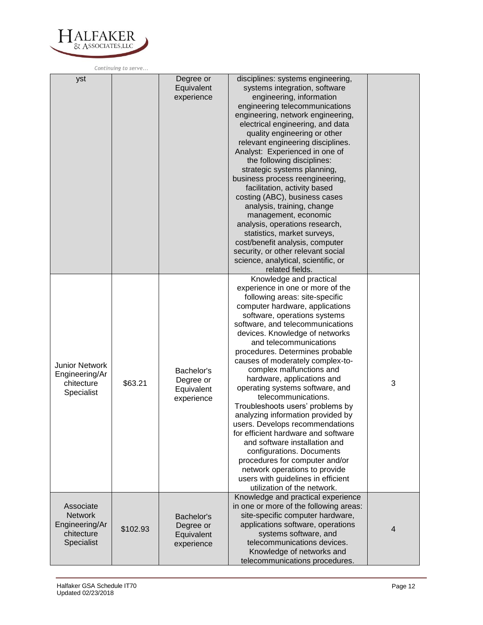

|                                                                           |          | Degree or<br>Equivalent<br>experience               | disciplines: systems engineering,<br>systems integration, software<br>engineering, information<br>engineering telecommunications<br>engineering, network engineering,<br>electrical engineering, and data<br>quality engineering or other<br>relevant engineering disciplines.<br>Analyst: Experienced in one of<br>the following disciplines:<br>strategic systems planning,<br>business process reengineering,<br>facilitation, activity based<br>costing (ABC), business cases<br>analysis, training, change<br>management, economic<br>analysis, operations research,<br>statistics, market surveys,<br>cost/benefit analysis, computer<br>security, or other relevant social<br>science, analytical, scientific, or<br>related fields.                                                                          |                |
|---------------------------------------------------------------------------|----------|-----------------------------------------------------|----------------------------------------------------------------------------------------------------------------------------------------------------------------------------------------------------------------------------------------------------------------------------------------------------------------------------------------------------------------------------------------------------------------------------------------------------------------------------------------------------------------------------------------------------------------------------------------------------------------------------------------------------------------------------------------------------------------------------------------------------------------------------------------------------------------------|----------------|
| <b>Junior Network</b><br>Engineering/Ar<br>chitecture<br>Specialist       | \$63.21  | Bachelor's<br>Degree or<br>Equivalent<br>experience | Knowledge and practical<br>experience in one or more of the<br>following areas: site-specific<br>computer hardware, applications<br>software, operations systems<br>software, and telecommunications<br>devices. Knowledge of networks<br>and telecommunications<br>procedures. Determines probable<br>causes of moderately complex-to-<br>complex malfunctions and<br>hardware, applications and<br>operating systems software, and<br>telecommunications.<br>Troubleshoots users' problems by<br>analyzing information provided by<br>users. Develops recommendations<br>for efficient hardware and software<br>and software installation and<br>configurations. Documents<br>procedures for computer and/or<br>network operations to provide<br>users with guidelines in efficient<br>utilization of the network. | 3              |
| Associate<br><b>Network</b><br>Engineering/Ar<br>chitecture<br>Specialist | \$102.93 | Bachelor's<br>Degree or<br>Equivalent<br>experience | Knowledge and practical experience<br>in one or more of the following areas:<br>site-specific computer hardware,<br>applications software, operations<br>systems software, and<br>telecommunications devices.<br>Knowledge of networks and<br>telecommunications procedures.                                                                                                                                                                                                                                                                                                                                                                                                                                                                                                                                         | $\overline{4}$ |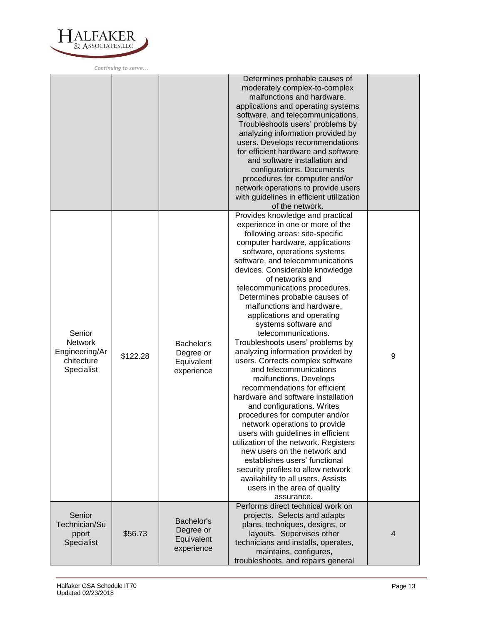

|                                                                 |          |                                                     | Determines probable causes of<br>moderately complex-to-complex<br>malfunctions and hardware,<br>applications and operating systems<br>software, and telecommunications.<br>Troubleshoots users' problems by<br>analyzing information provided by<br>users. Develops recommendations<br>for efficient hardware and software<br>and software installation and<br>configurations. Documents<br>procedures for computer and/or<br>network operations to provide users<br>with guidelines in efficient utilization<br>of the network.                                                                                                                                                                                                                                                                                                                                                                                                                                                                                                                                     |   |
|-----------------------------------------------------------------|----------|-----------------------------------------------------|----------------------------------------------------------------------------------------------------------------------------------------------------------------------------------------------------------------------------------------------------------------------------------------------------------------------------------------------------------------------------------------------------------------------------------------------------------------------------------------------------------------------------------------------------------------------------------------------------------------------------------------------------------------------------------------------------------------------------------------------------------------------------------------------------------------------------------------------------------------------------------------------------------------------------------------------------------------------------------------------------------------------------------------------------------------------|---|
| Senior<br>Network<br>Engineering/Ar<br>chitecture<br>Specialist | \$122.28 | Bachelor's<br>Degree or<br>Equivalent<br>experience | Provides knowledge and practical<br>experience in one or more of the<br>following areas: site-specific<br>computer hardware, applications<br>software, operations systems<br>software, and telecommunications<br>devices. Considerable knowledge<br>of networks and<br>telecommunications procedures.<br>Determines probable causes of<br>malfunctions and hardware,<br>applications and operating<br>systems software and<br>telecommunications.<br>Troubleshoots users' problems by<br>analyzing information provided by<br>users. Corrects complex software<br>and telecommunications<br>malfunctions. Develops<br>recommendations for efficient<br>hardware and software installation<br>and configurations. Writes<br>procedures for computer and/or<br>network operations to provide<br>users with guidelines in efficient<br>utilization of the network. Registers<br>new users on the network and<br>establishes users' functional<br>security profiles to allow network<br>availability to all users. Assists<br>users in the area of quality<br>assurance. | 9 |
| Senior<br>Technician/Su<br>pport<br>Specialist                  | \$56.73  | Bachelor's<br>Degree or<br>Equivalent<br>experience | Performs direct technical work on<br>projects. Selects and adapts<br>plans, techniques, designs, or<br>layouts. Supervises other<br>technicians and installs, operates,<br>maintains, configures,<br>troubleshoots, and repairs general                                                                                                                                                                                                                                                                                                                                                                                                                                                                                                                                                                                                                                                                                                                                                                                                                              | 4 |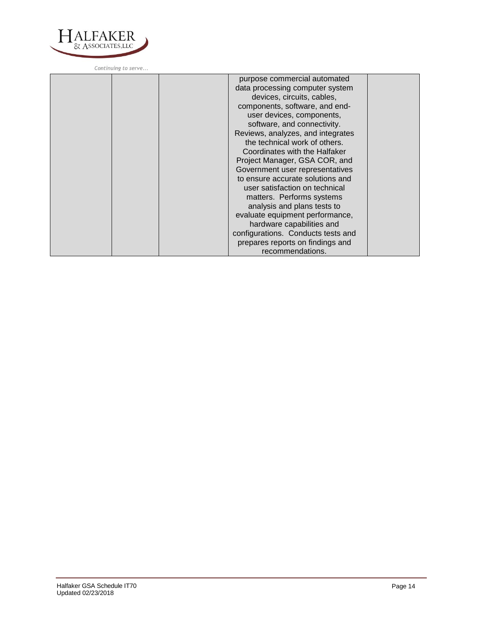

| purpose commercial automated<br>data processing computer system<br>devices, circuits, cables,<br>components, software, and end-<br>user devices, components,<br>software, and connectivity.<br>Reviews, analyzes, and integrates<br>the technical work of others.<br>Coordinates with the Halfaker<br>Project Manager, GSA COR, and<br>Government user representatives<br>to ensure accurate solutions and<br>user satisfaction on technical<br>matters. Performs systems |  |
|---------------------------------------------------------------------------------------------------------------------------------------------------------------------------------------------------------------------------------------------------------------------------------------------------------------------------------------------------------------------------------------------------------------------------------------------------------------------------|--|
| analysis and plans tests to<br>evaluate equipment performance,                                                                                                                                                                                                                                                                                                                                                                                                            |  |
| hardware capabilities and<br>configurations. Conducts tests and<br>prepares reports on findings and<br>recommendations.                                                                                                                                                                                                                                                                                                                                                   |  |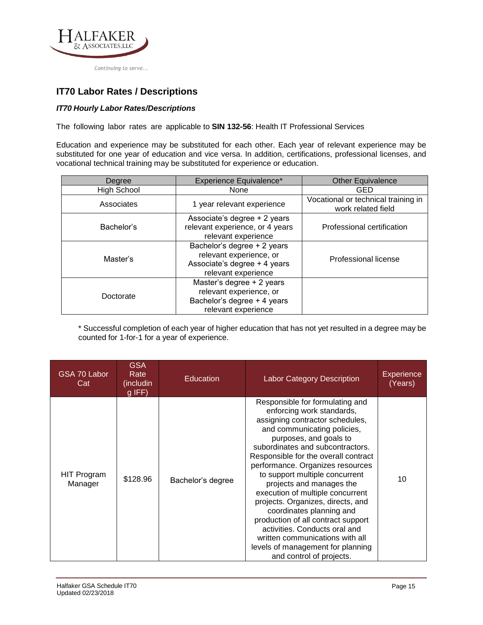

# **Labor Rates / Descriptions**

## *Hourly Labor Rates/Descriptions*

The following labor rates are applicable to **SIN 54151HEAL**: Health IT Professional Services

Education and experience may be substituted for each other. Each year of relevant experience may be substituted for one year of education and vice versa. In addition, certifications, professional licenses, and vocational technical training may be substituted for experience or education.

| Degree             | Experience Equivalence*                                                                                       | <b>Other Equivalence</b>                                  |
|--------------------|---------------------------------------------------------------------------------------------------------------|-----------------------------------------------------------|
| <b>High School</b> | None                                                                                                          | GED                                                       |
| Associates         | 1 year relevant experience                                                                                    | Vocational or technical training in<br>work related field |
| Bachelor's         | Associate's degree + 2 years<br>relevant experience, or 4 years<br>relevant experience                        | Professional certification                                |
| Master's           | Bachelor's degree + 2 years<br>relevant experience, or<br>Associate's degree + 4 years<br>relevant experience | Professional license                                      |
| Doctorate          | Master's degree + 2 years<br>relevant experience, or<br>Bachelor's degree + 4 years<br>relevant experience    |                                                           |

\* Successful completion of each year of higher education that has not yet resulted in a degree may be counted for 1-for-1 for a year of experience.

| GSA 70 Labor<br>Cat    | <b>GSA</b><br>Rate<br>(includin<br>$g$ IFF) | Education         | <b>Labor Category Description</b>                                                                                                                                                                                                                                                                                                                                                                                                                                                                                                                                                                                      | Experience<br>(Years) |
|------------------------|---------------------------------------------|-------------------|------------------------------------------------------------------------------------------------------------------------------------------------------------------------------------------------------------------------------------------------------------------------------------------------------------------------------------------------------------------------------------------------------------------------------------------------------------------------------------------------------------------------------------------------------------------------------------------------------------------------|-----------------------|
| HIT Program<br>Manager | \$128.96                                    | Bachelor's degree | Responsible for formulating and<br>enforcing work standards,<br>assigning contractor schedules,<br>and communicating policies,<br>purposes, and goals to<br>subordinates and subcontractors.<br>Responsible for the overall contract<br>performance. Organizes resources<br>to support multiple concurrent<br>projects and manages the<br>execution of multiple concurrent<br>projects. Organizes, directs, and<br>coordinates planning and<br>production of all contract support<br>activities. Conducts oral and<br>written communications with all<br>levels of management for planning<br>and control of projects. | 10                    |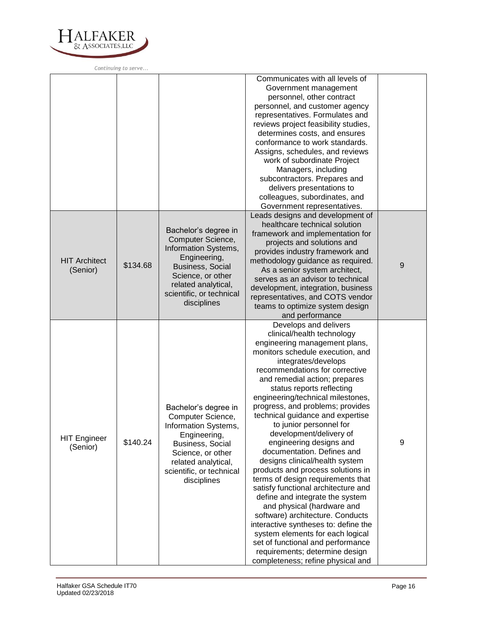

|                                  |          |                                                                                                                                                                                                     | Communicates with all levels of<br>Government management<br>personnel, other contract<br>personnel, and customer agency<br>representatives. Formulates and<br>reviews project feasibility studies,<br>determines costs, and ensures<br>conformance to work standards.<br>Assigns, schedules, and reviews<br>work of subordinate Project<br>Managers, including<br>subcontractors. Prepares and<br>delivers presentations to<br>colleagues, subordinates, and<br>Government representatives.                                                                                                                                                                                                                                                                                                                                                                                                                                 |   |
|----------------------------------|----------|-----------------------------------------------------------------------------------------------------------------------------------------------------------------------------------------------------|-----------------------------------------------------------------------------------------------------------------------------------------------------------------------------------------------------------------------------------------------------------------------------------------------------------------------------------------------------------------------------------------------------------------------------------------------------------------------------------------------------------------------------------------------------------------------------------------------------------------------------------------------------------------------------------------------------------------------------------------------------------------------------------------------------------------------------------------------------------------------------------------------------------------------------|---|
| <b>HIT Architect</b><br>(Senior) | \$134.68 | Bachelor's degree in<br>Computer Science,<br>Information Systems,<br>Engineering,<br><b>Business, Social</b><br>Science, or other<br>related analytical,<br>scientific, or technical<br>disciplines | Leads designs and development of<br>healthcare technical solution<br>framework and implementation for<br>projects and solutions and<br>provides industry framework and<br>methodology guidance as required.<br>As a senior system architect,<br>serves as an advisor to technical<br>development, integration, business<br>representatives, and COTS vendor<br>teams to optimize system design<br>and performance                                                                                                                                                                                                                                                                                                                                                                                                                                                                                                           | 9 |
| <b>HIT Engineer</b><br>(Senior)  | \$140.24 | Bachelor's degree in<br>Computer Science,<br>Information Systems,<br>Engineering,<br>Business, Social<br>Science, or other<br>related analytical,<br>scientific, or technical<br>disciplines        | Develops and delivers<br>clinical/health technology<br>engineering management plans,<br>monitors schedule execution, and<br>integrates/develops<br>recommendations for corrective<br>and remedial action; prepares<br>status reports reflecting<br>engineering/technical milestones,<br>progress, and problems; provides<br>technical guidance and expertise<br>to junior personnel for<br>development/delivery of<br>engineering designs and<br>documentation. Defines and<br>designs clinical/health system<br>products and process solutions in<br>terms of design requirements that<br>satisfy functional architecture and<br>define and integrate the system<br>and physical (hardware and<br>software) architecture. Conducts<br>interactive syntheses to: define the<br>system elements for each logical<br>set of functional and performance<br>requirements; determine design<br>completeness; refine physical and | 9 |